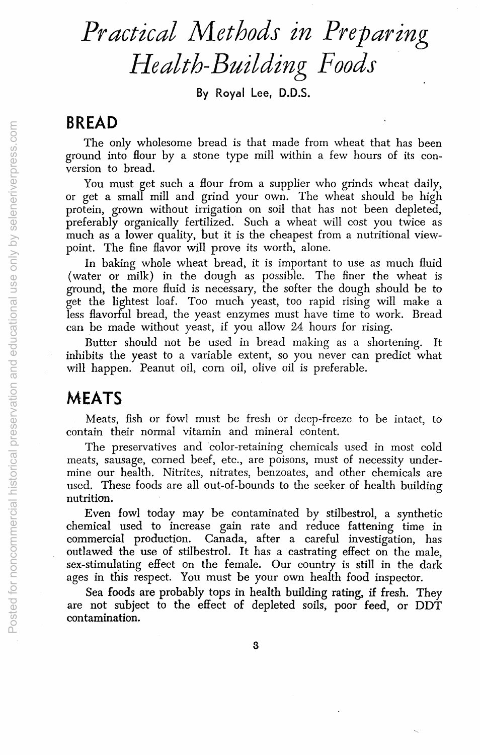# *Practical Methods in Preparing Health-Building Foods*

By Royal Lee, D.D.S.

#### **BREAD**

The only wholesome bread is that made from wheat that has been ground into Hour by a stone type mill within a few hours of its conversion to bread.

You must get such a Hour from a supplier who grinds wheat daily, or get a small mill and grind your own. The wheat should be high protein, grown without irrigation on soil that has not been depleted, preferably organically fertilized. Such a wheat will cost you twice as much as a lower quality, but it is the cheapest from a nutritional viewpoint. The fine flavor will prove its worth, alone.

In baking whole wheat bread, it is important to use as much fluid (water or milk) in the dough as possible, The finer the wheat is ground, the more fluid is necessary, the softer the dough should be to get the lightest loaf. Too much yeast, too rapid rising will make a less flavorful bread, the yeast enzymes must have time to work. Bread can be made without yeast, if you allow 24 hours for rising.

Butter should not be used in bread making as a shortening. It inhibits the yeast to a variable extent, so you never can predict what will happen. Peanut oil, com oil, olive oil is preferable.

# **MEATS**

Meats, fish or fowl must be fresh Or deep-freeze to be intact, to contain their normal vitamin and mineral content.

The preservatives and 'color-retaining chemicals used in most cold meats, sausage, corned beef, etc., are poisons, must of necessity undermine our health. Nitrites, nitrates, benzoates, and other chemicals are used. These foods are all out-of-bounds to the seeker of health building nutrition.

Even fowl today may be contaminated by stilbestrol, a synthetic chemical used to increase gain rate and reduce fattening time in commercial production. Canada, after a careful investigation, has outlawed the use of stilbestrol. It has a castrating effect on the male, sex-stimulating effect on the female. Our country is still in the dark ages in this respect. You must be your own health food inspector.

Sea foods are probably tops in health building rating, if fresh. They are not subject to the effect of depleted soils, poor feed, or DDT contamination.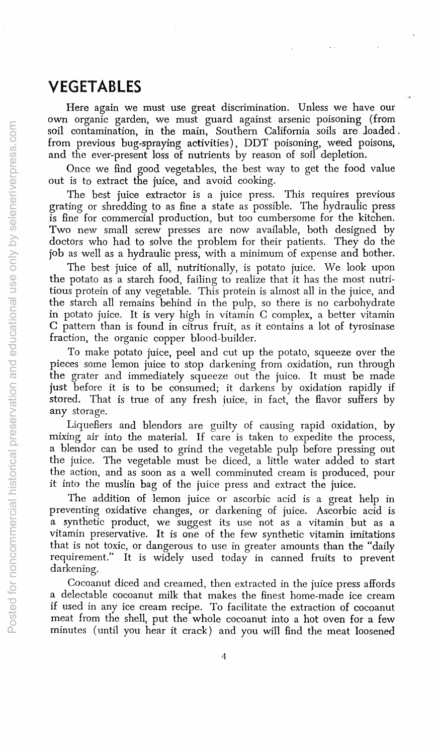## VEGETABLES

Here again we must use great discrimination. Unless we have our own organic garden, we must guard against arsenic poisoning (from soil contamination, in the main, Southern California soils are loaded. from previous bug-spraying activities), DDT poisoning, weed poisons, and the ever-present loss of nutrients by reason of soil depletion.

Once we find good vegetables, the best way to get the food value out is to extract the juice, and avoid cooking.

The best juice extractor is a juice press. This requires previous grating or shredding to as fine a state as possible. The hydraulic press is fine for commercial production, but too cumbersome for the kitchen. Two new small screw presses are now available, both designed by doctors who had to solve the problem for their patients. They do the job as well as a hydraulic press, with a minimum of expense and bother.

The best juice of all, nutritionally, is potato juice. We look upon the potato as a starch food, failing to realize that it has the most nutritious protein of any vegetable. This protein is almost all in the juice, and the starch all remains behind in the pulp, so there is no carbohydrate in potato juice. It is very high in vitamin C complex, a better vitamin C pattern than is found in citrus fruit, as it contains a lot of tyrosinase fraction, the organic copper blood-builder.

To make potato juice, peel and cut up the potato, squeeze over the pieces some lemon juice to stop darkening from oxidation, run through the grater and immediately squeeze out the juice. It must be made just before it is to be consumed; it darkens by oxidation rapidly if stored. That is true of any fresh juice, in fact, the flavor suffers by any storage.

Liquefiers and blendors are guilty of causing rapid oxidation, by mixing air into the material. If care is taken to expedite the process, a blendor can be used to grind the vegetable pulp before pressing out the juice. The vegetable must be diced, a little water added to start the action, and as soon as a well comminuted cream is produced, pour it into the muslin bag of the juice press and extract the juice.

The addition of lemon juice or ascorbic acid is a great help in preventing oxidative changes, or darkening of juice. Ascorbic acid is a synthetic product, we suggest its use not as a vitamin. but as a vitamin preservative. It is one of the few synthetic vitamin imitations that is not toxic, or dangerous to use in greater amounts than the "daily" requirement." It is widely used today in canned fruits to prevent darkening.

Cocoanut diced and creamed, then extracted in the juice press affords a delectable cocoanut milk that makes the finest home-made ice cream if used in any ice cream recipe. To facilitate the extraction of cocoanut meat from the shell, put the whole cocoanut into a hot oven for a few minutes (until you hear it crack) and you will find the meat loosened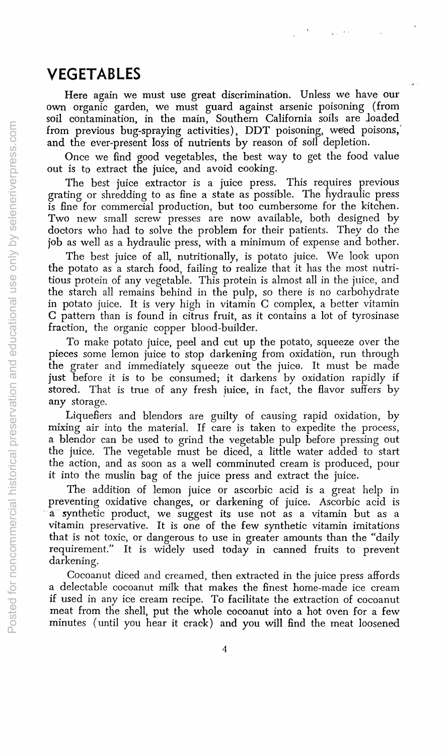### **VEGETABLES**

Here again we must use great discrimination. Unless we have our own organic garden, we must guard against arsenic poisoning (from soil contamination, in the main, Southern California soils are loaded from previous bug-spraying activities), DDT poisoning, weed poisons,' and the ever-present loss of nutrients by reason of soil depletion.

Once we find good vegetables, the best way to get the food value out is to extract the juice, and avoid cooking.

The best juice extractor is a juice press. This requires previous grating or shredding to as fine a state as possible. The hydraulic press is fine for commercial production, but too cumbersome for the kitchen. Two new small screw presses are now available, both designed by doctors who had to solve the problem for their patients. They do the job as well as a hydraulic press, with a minimum of expense and bother.

The best juice of all, nutritionally, is potato juice. We look upon the potato as a starch food, failing to realize that it has the most nutritious protein of any vegetable. This protein is almost all in the juice, and the starch all remains behind in the pulp, so there is no carbohydrate in potato juice. It is very high in vitamin C complex, a better vitamin C pattern than is found in citrus fruit, as it contains a lot of tyrosinase fraction, the organic copper blood-builder.

To make potato juice, peel and cut up the potato, squeeze over the pieces some lemon juice to stop darkening from oxidation, run through the grater and immediately squeeze out the juice. It must be made just before it is to be consumed; it darkens by oxidation rapidly if stored. That is true of any fresh juice, in fact, the flavor suffers by any storage.

Liquefiers and blendors are guilty of causing rapid oxidation, by mixing air into the material. If care is taken to expedite the process, a blendor can be used to grind the vegetable pulp before pressing out the juice. The vegetable must be diced, a little water added to start the action, and as soon as a well comminuted cream is produced, pour it into the muslin bag of the juice press and extract the juice.

The addition of lemon juice or ascorbic acid is a great help in preventing oxidative changes, or darkening of juice. Ascorbic acid is a synthetic product, we suggest its use not as a vitamin but as a vitamin preservative. It is one of the few synthetic vitamin imitations that is not toxic, or dangerous to use in greater amounts than the "daily requirement." It is widely used today in canned fruits to prevent darkening.

Cocoanut diced and creamed, then extracted in the juice press affords a delectable cocoanut milk that makes the finest home-made ice cream if used in any ice cream recipe. To facilitate the extraction of cocoanut meat from the shell, put the whole cocoanut into a hot oven for a few minutes (until you hear it crack) and you will find the meat loosened